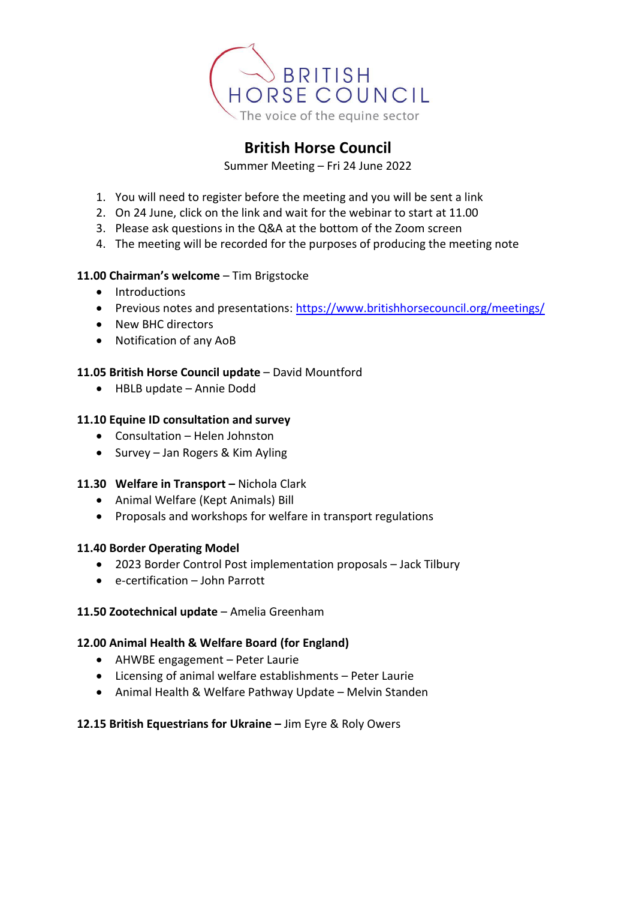

# **British Horse Council**

Summer Meeting – Fri 24 June 2022

- 1. You will need to register before the meeting and you will be sent a link
- 2. On 24 June, click on the link and wait for the webinar to start at 11.00
- 3. Please ask questions in the Q&A at the bottom of the Zoom screen
- 4. The meeting will be recorded for the purposes of producing the meeting note

## **11.00 Chairman's welcome** – Tim Brigstocke

- Introductions
- Previous notes and presentations: <https://www.britishhorsecouncil.org/meetings/>
- New BHC directors
- Notification of any AoB

## **11.05 British Horse Council update** – David Mountford

• HBLB update – Annie Dodd

## **11.10 Equine ID consultation and survey**

- Consultation Helen Johnston
- Survey Jan Rogers & Kim Ayling

#### **11.30 Welfare in Transport –** Nichola Clark

- Animal Welfare (Kept Animals) Bill
- Proposals and workshops for welfare in transport regulations

#### **11.40 Border Operating Model**

- 2023 Border Control Post implementation proposals Jack Tilbury
- e-certification John Parrott

#### **11.50 Zootechnical update** – Amelia Greenham

#### **12.00 Animal Health & Welfare Board (for England)**

- AHWBE engagement Peter Laurie
- Licensing of animal welfare establishments Peter Laurie
- Animal Health & Welfare Pathway Update Melvin Standen

#### **12.15 British Equestrians for Ukraine –** Jim Eyre & Roly Owers